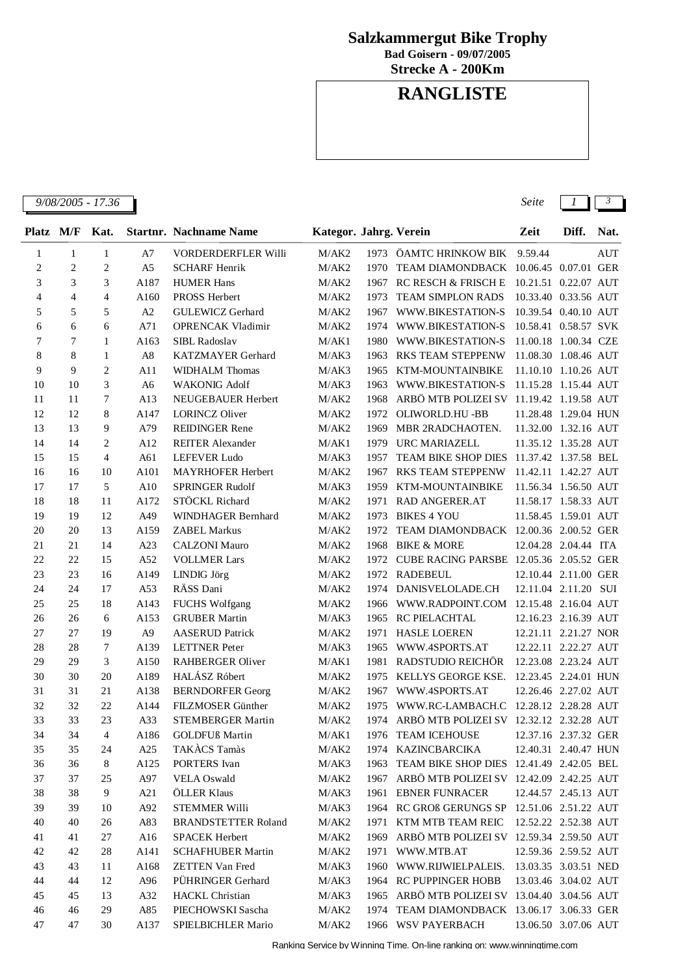## **Salzkammergut Bike Trophy**

**Bad Goisern - 09/07/2005**

**Strecke A - 200Km**

## **RANGLISTE**

*9/08/2005 - 17.36 Seite 1 3*

| Platz M/F      |                | Kat.           |                | <b>Startnr. Nachname Name</b> | Kategor. Jahrg. Verein |      |                                               | Zeit                 | Diff. | Nat. |
|----------------|----------------|----------------|----------------|-------------------------------|------------------------|------|-----------------------------------------------|----------------------|-------|------|
| 1              | $\mathbf{1}$   | $\mathbf{1}$   | A7             | <b>VORDERDERFLER Willi</b>    | M/AK2                  | 1973 | ÖAMTC HRINKOW BIK                             | 9.59.44              |       | AUT  |
| 2              | $\overline{c}$ | $\overline{c}$ | A <sub>5</sub> | <b>SCHARF Henrik</b>          | M/AK2                  | 1970 | TEAM DIAMONDBACK 10.06.45 0.07.01 GER         |                      |       |      |
| 3              | 3              | 3              | A187           | <b>HUMER Hans</b>             | M/AK2                  | 1967 | <b>RC RESCH &amp; FRISCH E</b>                | 10.21.51 0.22.07 AUT |       |      |
| $\overline{4}$ | $\overline{4}$ | $\overline{4}$ | A160           | PROSS Herbert                 | M/AK2                  | 1973 | <b>TEAM SIMPLON RADS</b>                      | 10.33.40 0.33.56 AUT |       |      |
| 5              | 5              | 5              | $\mathbf{A2}$  | <b>GULEWICZ Gerhard</b>       | M/AK2                  | 1967 | WWW.BIKESTATION-S                             | 10.39.54 0.40.10 AUT |       |      |
| 6              | 6              | 6              | A71            | <b>OPRENCAK Vladimir</b>      | M/AK2                  | 1974 | WWW.BIKESTATION-S                             | 10.58.41 0.58.57 SVK |       |      |
| 7              | 7              | 1              | A163           | SIBL Radoslav                 | M/AK1                  | 1980 | WWW.BIKESTATION-S                             | 11.00.18 1.00.34 CZE |       |      |
| 8              | 8              | 1              | A8             | <b>KATZMAYER Gerhard</b>      | M/AK3                  | 1963 | <b>RKS TEAM STEPPENW</b>                      | 11.08.30 1.08.46 AUT |       |      |
| 9              | 9              | $\overline{c}$ | A11            | <b>WIDHALM Thomas</b>         | M/AK3                  | 1965 | KTM-MOUNTAINBIKE                              | 11.10.10 1.10.26 AUT |       |      |
| 10             | 10             | 3              | A <sub>6</sub> | <b>WAKONIG Adolf</b>          | M/AK3                  | 1963 | WWW.BIKESTATION-S                             | 11.15.28 1.15.44 AUT |       |      |
| 11             | 11             | 7              | A13            | NEUGEBAUER Herbert            | M/AK2                  | 1968 | ARBÖ MTB POLIZEI SV 11.19.42 1.19.58 AUT      |                      |       |      |
| 12             | 12             | 8              | A147           | <b>LORINCZ Oliver</b>         | M/AK2                  | 1972 | OLIWORLD.HU -BB                               | 11.28.48 1.29.04 HUN |       |      |
| 13             | 13             | 9              | A79            | <b>REIDINGER Rene</b>         | M/AK2                  | 1969 | MBR 2RADCHAOTEN.                              | 11.32.00 1.32.16 AUT |       |      |
| 14             | 14             | $\overline{c}$ | A12            | <b>REITER Alexander</b>       | M/AK1                  | 1979 | <b>URC MARIAZELL</b>                          | 11.35.12 1.35.28 AUT |       |      |
| 15             | 15             | $\overline{4}$ | A61            | <b>LEFEVER Ludo</b>           | M/AK3                  | 1957 | TEAM BIKE SHOP DIES 11.37.42 1.37.58 BEL      |                      |       |      |
| 16             | 16             | 10             | A101           | MAYRHOFER Herbert             | M/AK2                  | 1967 | <b>RKS TEAM STEPPENW</b>                      | 11.42.11 1.42.27 AUT |       |      |
| 17             | 17             | 5              | A10            | <b>SPRINGER Rudolf</b>        | M/AK3                  | 1959 | KTM-MOUNTAINBIKE                              | 11.56.34 1.56.50 AUT |       |      |
| 18             | 18             | 11             | A172           | STÖCKL Richard                | M/AK2                  | 1971 | <b>RAD ANGERER.AT</b>                         | 11.58.17 1.58.33 AUT |       |      |
| 19             | 19             | 12             | A49            | WINDHAGER Bernhard            | M/AK2                  | 1973 | <b>BIKES 4 YOU</b>                            | 11.58.45 1.59.01 AUT |       |      |
| 20             | 20             | 13             | A159           | <b>ZABEL Markus</b>           | M/AK2                  | 1972 | TEAM DIAMONDBACK 12.00.36 2.00.52 GER         |                      |       |      |
| 21             | 21             | 14             | A23            | <b>CALZONI Mauro</b>          | M/AK2                  | 1968 | <b>BIKE &amp; MORE</b>                        | 12.04.28 2.04.44 ITA |       |      |
| 22             | 22             | 15             | A52            | <b>VOLLMER Lars</b>           | M/AK2                  | 1972 | CUBE RACING PARSBE 12.05.36 2.05.52 GER       |                      |       |      |
| 23             | 23             | 16             | A149           | <b>LINDIG Jörg</b>            | M/AK2                  | 1972 | <b>RADEBEUL</b>                               | 12.10.44 2.11.00 GER |       |      |
| 24             | 24             | 17             | A53            | RÄSS Dani                     | M/AK2                  | 1974 | DANISVELOLADE.CH                              | 12.11.04 2.11.20 SUI |       |      |
| 25             | 25             | 18             | A143           | <b>FUCHS Wolfgang</b>         | M/AK2                  | 1966 | WWW.RADPOINT.COM 12.15.48 2.16.04 AUT         |                      |       |      |
| 26             | 26             | 6              | A153           | <b>GRUBER Martin</b>          | M/AK3                  | 1965 | RC PIELACHTAL                                 | 12.16.23 2.16.39 AUT |       |      |
| 27             | 27             | 19             | A <sub>9</sub> | <b>AASERUD Patrick</b>        | M/AK2                  | 1971 | <b>HASLE LOEREN</b>                           | 12.21.11 2.21.27 NOR |       |      |
| 28             | 28             | 7              | A139           | <b>LETTNER</b> Peter          | M/AK3                  | 1965 | WWW.4SPORTS.AT                                | 12.22.11 2.22.27 AUT |       |      |
| 29             | 29             | 3              | A150           | <b>RAHBERGER Oliver</b>       | M/AK1                  | 1981 | RADSTUDIO REICHÖR                             | 12.23.08 2.23.24 AUT |       |      |
| 30             | 30             | 20             | A189           | HALÁSZ Róbert                 | M/AK2                  | 1975 | KELLYS GEORGE KSE.                            | 12.23.45 2.24.01 HUN |       |      |
| 31             | 31             | 21             | A138           | <b>BERNDORFER Georg</b>       | M/AK2                  | 1967 | WWW.4SPORTS.AT                                | 12.26.46 2.27.02 AUT |       |      |
| 32             | 32             | 22             | A144           | FILZMOSER Günther             | M/AK2                  | 1975 | WWW.RC-LAMBACH.C 12.28.12 2.28.28 AUT         |                      |       |      |
| 33             | 33             | 23             | A33            | <b>STEMBERGER Martin</b>      | M/AK2                  |      | 1974 ARBÖ MTB POLIZEI SV 12.32.12 2.32.28 AUT |                      |       |      |
| 34             | 34             | $\overline{4}$ | A186           | <b>GOLDFUß</b> Martin         |                        |      | M/AK1 1976 TEAM ICEHOUSE                      | 12.37.16 2.37.32 GER |       |      |
| 35             | 35             | 24             | A25            | TAKACS Tamàs                  | M/AK2                  |      | 1974 KAZINCBARCIKA                            | 12.40.31 2.40.47 HUN |       |      |
| 36             | 36             | 8              | A125           | PORTERS Ivan                  | M/AK3                  | 1963 | TEAM BIKE SHOP DIES 12.41.49 2.42.05 BEL      |                      |       |      |
| 37             | 37             | 25             | A97            | <b>VELA Oswald</b>            | M/AK2                  | 1967 | ARBÖ MTB POLIZEI SV 12.42.09 2.42.25 AUT      |                      |       |      |
| 38             | 38             | 9              | A21            | ÖLLER Klaus                   | M/AK3                  | 1961 | <b>EBNER FUNRACER</b>                         | 12.44.57 2.45.13 AUT |       |      |
| 39             | 39             | 10             | A92            | <b>STEMMER Willi</b>          | M/AK3                  | 1964 | RC GROß GERUNGS SP 12.51.06 2.51.22 AUT       |                      |       |      |
| 40             | 40             | 26             | A83            | <b>BRANDSTETTER Roland</b>    | M/AK2                  | 1971 | KTM MTB TEAM REIC                             | 12.52.22 2.52.38 AUT |       |      |
| 41             | 41             | 27             | A16            | <b>SPACEK Herbert</b>         | M/AK2                  | 1969 | ARBÖ MTB POLIZEI SV 12.59.34 2.59.50 AUT      |                      |       |      |
| 42             | 42             | 28             | A141           | <b>SCHAFHUBER Martin</b>      | M/AK2                  |      | 1971 WWW.MTB.AT                               | 12.59.36 2.59.52 AUT |       |      |
| 43             | 43             | 11             | A168           | <b>ZETTEN Van Fred</b>        | M/AK3                  |      | 1960 WWW.RIJWIELPALEIS. 13.03.35 3.03.51 NED  |                      |       |      |
| 44             | 44             | 12             | A96            | PÜHRINGER Gerhard             | M/AK3                  |      | 1964 RC PUPPINGER HOBB                        | 13.03.46 3.04.02 AUT |       |      |
| 45             | 45             | 13             | A32            | HACKL Christian               | M/AK3                  |      | 1965 ARBÖ MTB POLIZEI SV 13.04.40 3.04.56 AUT |                      |       |      |
| 46             | 46             | 29             | A85            | PIECHOWSKI Sascha             | M/AK2                  |      | 1974 TEAM DIAMONDBACK 13.06.17 3.06.33 GER    |                      |       |      |

47 30 A137 SPIELBICHLER Mario M/AK2 1966 WSV PAYERBACH 13.06.50 3.07.06 AUT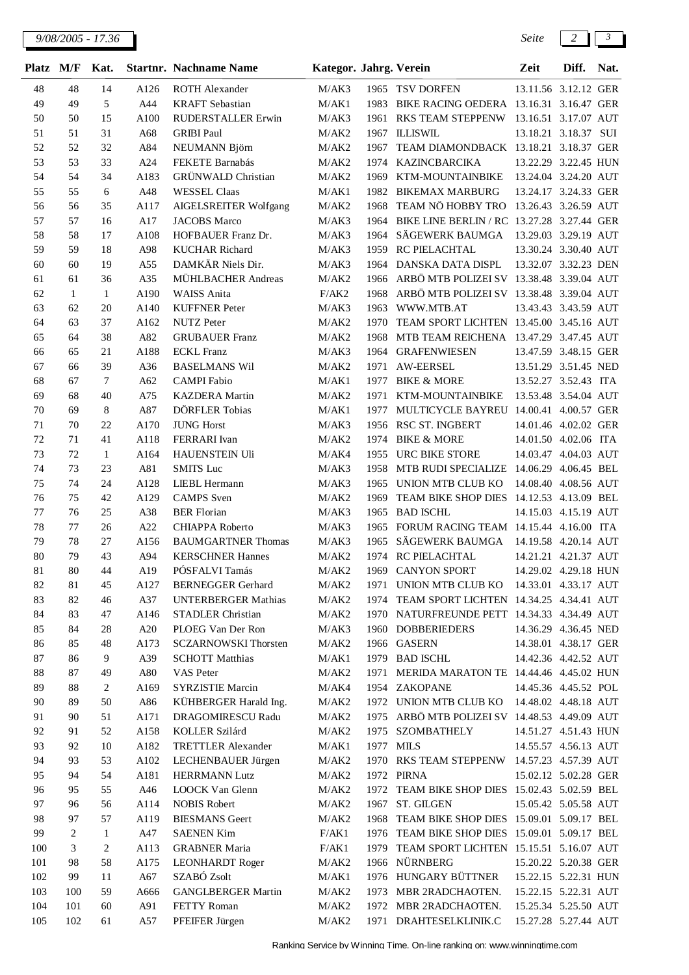| Platz    | M/F            | Kat.           |             | <b>Startnr. Nachname Name</b>                         | Kategor. Jahrg. Verein |      |                                                                    | Zeit                                         | Diff. | Nat. |
|----------|----------------|----------------|-------------|-------------------------------------------------------|------------------------|------|--------------------------------------------------------------------|----------------------------------------------|-------|------|
| 48       | 48             | 14             | A126        | <b>ROTH Alexander</b>                                 | M/AK3                  |      | 1965 TSV DORFEN                                                    | 13.11.56 3.12.12 GER                         |       |      |
| 49       | 49             | 5              | A44         | <b>KRAFT</b> Sebastian                                | M/AK1                  | 1983 | BIKE RACING OEDERA 13.16.31 3.16.47 GER                            |                                              |       |      |
| 50       | 50             | 15             | A100        | RUDERSTALLER Erwin                                    | M/AK3                  | 1961 | RKS TEAM STEPPENW 13.16.51 3.17.07 AUT                             |                                              |       |      |
| 51       | 51             | 31             | A68         | <b>GRIBI Paul</b>                                     | M/AK2                  | 1967 | <b>ILLISWIL</b>                                                    | 13.18.21 3.18.37 SUI                         |       |      |
| 52       | 52             | 32             | A84         | NEUMANN Björn                                         | M/AK2                  | 1967 | TEAM DIAMONDBACK 13.18.21 3.18.37 GER                              |                                              |       |      |
| 53       | 53             | 33             | A24         | FEKETE Barnabás                                       | M/AK2                  | 1974 | <b>KAZINCBARCIKA</b>                                               | 13.22.29 3.22.45 HUN                         |       |      |
| 54       | 54             | 34             | A183        | <b>GRÜNWALD</b> Christian                             | M/AK2                  | 1969 | KTM-MOUNTAINBIKE                                                   | 13.24.04 3.24.20 AUT                         |       |      |
| 55       | 55             | 6              | A48         | <b>WESSEL Claas</b>                                   | M/AK1                  | 1982 | <b>BIKEMAX MARBURG</b>                                             | 13.24.17 3.24.33 GER                         |       |      |
| 56       | 56             | 35             | A117        | <b>AIGELSREITER Wolfgang</b>                          | M/AK2                  | 1968 | TEAM NÖ HOBBY TRO 13.26.43 3.26.59 AUT                             |                                              |       |      |
| 57       | 57             | 16             | A17         | <b>JACOBS</b> Marco                                   | M/AK3                  | 1964 | BIKE LINE BERLIN / RC 13.27.28 3.27.44 GER                         |                                              |       |      |
| 58       | 58             | 17             | A108        | HOFBAUER Franz Dr.                                    | M/AK3                  | 1964 | SÄGEWERK BAUMGA                                                    | 13.29.03 3.29.19 AUT                         |       |      |
| 59       | 59             | 18             | A98         | <b>KUCHAR Richard</b>                                 | M/AK3                  | 1959 | RC PIELACHTAL                                                      | 13.30.24 3.30.40 AUT                         |       |      |
| 60       | 60             | 19             | A55         | DAMKÄR Niels Dir.                                     | M/AK3                  | 1964 | DANSKA DATA DISPL                                                  | 13.32.07 3.32.23 DEN                         |       |      |
| 61       | 61             | 36             | A35         | MÜHLBACHER Andreas                                    | M/AK2                  | 1966 | ARBÖ MTB POLIZEI SV 13.38.48 3.39.04 AUT                           |                                              |       |      |
| 62       | 1              | $\mathbf{1}$   | A190        | <b>WAISS Anita</b>                                    | F/AK2                  | 1968 | ARBÖ MTB POLIZEI SV 13.38.48 3.39.04 AUT                           |                                              |       |      |
| 63       | 62             | 20             | A140        | <b>KUFFNER Peter</b>                                  | M/AK3                  | 1963 | WWW.MTB.AT                                                         | 13.43.43 3.43.59 AUT                         |       |      |
| 64       | 63             | 37             | A162        | <b>NUTZ</b> Peter                                     | M/AK2                  | 1970 | TEAM SPORT LICHTEN 13.45.00 3.45.16 AUT                            |                                              |       |      |
| 65       | 64             | 38             | A82         | <b>GRUBAUER Franz</b>                                 | M/AK2                  | 1968 | MTB TEAM REICHENA 13.47.29 3.47.45 AUT                             |                                              |       |      |
| 66       | 65             | 21             | A188        | <b>ECKL</b> Franz                                     | M/AK3                  | 1964 | <b>GRAFENWIESEN</b>                                                | 13.47.59 3.48.15 GER                         |       |      |
| 67       | 66             | 39             | A36         | <b>BASELMANS Wil</b>                                  | M/AK2                  | 1971 | <b>AW-EERSEL</b>                                                   | 13.51.29 3.51.45 NED                         |       |      |
| 68       | 67             | $\tau$         | A62         | <b>CAMPI</b> Fabio                                    | M/AK1                  | 1977 | <b>BIKE &amp; MORE</b>                                             | 13.52.27 3.52.43 ITA                         |       |      |
| 69       | 68             | 40             | A75         | <b>KAZDERA</b> Martin                                 | M/AK2                  | 1971 | KTM-MOUNTAINBIKE                                                   | 13.53.48 3.54.04 AUT                         |       |      |
| 70       | 69             | 8              | A87         | DÖRFLER Tobias                                        | M/AK1                  | 1977 | MULTICYCLE BAYREU 14.00.41 4.00.57 GER                             |                                              |       |      |
| 71       | 70             | 22             | A170        | <b>JUNG Horst</b>                                     | M/AK3                  | 1956 | RSC ST. INGBERT                                                    | 14.01.46 4.02.02 GER                         |       |      |
| 72       | 71             | 41             | A118        | FERRARI Ivan                                          | M/AK2                  | 1974 | <b>BIKE &amp; MORE</b>                                             | 14.01.50 4.02.06 ITA                         |       |      |
| 73       | 72             | $\mathbf{1}$   | A164        | <b>HAUENSTEIN Uli</b>                                 | M/AK4                  | 1955 | URC BIKE STORE                                                     | 14.03.47 4.04.03 AUT                         |       |      |
| 74       | 73             | 23             | A81         | <b>SMITS</b> Luc                                      | M/AK3                  | 1958 | MTB RUDI SPECIALIZE 14.06.29 4.06.45 BEL                           |                                              |       |      |
| 75       | 74             | 24             | A128        | LIEBL Hermann                                         | M/AK3                  | 1965 | UNION MTB CLUB KO                                                  | 14.08.40 4.08.56 AUT                         |       |      |
| 76       | 75             | 42             | A129        | <b>CAMPS</b> Sven                                     | M/AK2                  | 1969 | TEAM BIKE SHOP DIES 14.12.53 4.13.09 BEL                           |                                              |       |      |
| 77       | 76             | 25             | A38         | <b>BER</b> Florian                                    | M/AK3                  | 1965 | <b>BAD ISCHL</b>                                                   | 14.15.03 4.15.19 AUT                         |       |      |
| 78       | 77             | 26             | A22         | CHIAPPA Roberto                                       | M/AK3                  | 1965 | FORUM RACING TEAM 14.15.44 4.16.00 ITA                             |                                              |       |      |
| 79       | 78             | 27             | A156        | <b>BAUMGARTNER Thomas</b>                             | M/AK3                  | 1965 | SÄGEWERK BAUMGA                                                    | 14.19.58 4.20.14 AUT                         |       |      |
| 80       | 79             | 43             | A94         | <b>KERSCHNER Hannes</b>                               | M/AK2                  | 1974 | RC PIELACHTAL                                                      | 14.21.21 4.21.37 AUT                         |       |      |
| 81       | 80             | 44             | A19         | PÓSFALVI Tamás                                        | M/AK2                  |      | 1969 CANYON SPORT                                                  | 14.29.02 4.29.18 HUN                         |       |      |
| 82       | $81\,$         | 45             | A127        | <b>BERNEGGER Gerhard</b>                              | M/AK2                  | 1971 | UNION MTB CLUB KO 14.33.01 4.33.17 AUT                             |                                              |       |      |
| 83       | 82             | 46             | A37         | <b>UNTERBERGER Mathias</b>                            | M/AK2                  | 1974 | TEAM SPORT LICHTEN 14.34.25 4.34.41 AUT                            |                                              |       |      |
| 84       | 83             | 47             | A146        | STADLER Christian<br>PLOEG Van Der Ron                | M/AK2                  |      | 1970 NATURFREUNDE PETT 14.34.33 4.34.49 AUT<br><b>DOBBERIEDERS</b> |                                              |       |      |
| 85       | 84             | 28             | A20<br>A173 |                                                       | M/AK3                  | 1960 |                                                                    | 14.36.29 4.36.45 NED                         |       |      |
| 86<br>87 | 85<br>86       | 48<br>9        | A39         | <b>SCZARNOWSKI</b> Thorsten<br><b>SCHOTT Matthias</b> | M/AK2<br>M/AK1         |      | 1966 GASERN<br>1979 BAD ISCHL                                      | 14.38.01 4.38.17 GER<br>14.42.36 4.42.52 AUT |       |      |
| 88       | 87             | 49             | A80         | VAS Peter                                             | M/AK2                  | 1971 | MERIDA MARATON TE 14.44.46 4.45.02 HUN                             |                                              |       |      |
| 89       | 88             | $\overline{c}$ | A169        | <b>SYRZISTIE Marcin</b>                               | M/AK4                  |      | 1954 ZAKOPANE                                                      | 14.45.36 4.45.52 POL                         |       |      |
| 90       | 89             | 50             | A86         | KÜHBERGER Harald Ing.                                 | M/AK2                  |      | 1972 UNION MTB CLUB KO                                             | 14.48.02  4.48.18  AUT                       |       |      |
| 91       | 90             | 51             | A171        | DRAGOMIRESCU Radu                                     | M/AK2                  | 1975 | ARBÖ MTB POLIZEI SV 14.48.53 4.49.09 AUT                           |                                              |       |      |
| 92       | 91             | 52             | A158        | KOLLER Szilárd                                        | M/AK2                  | 1975 | <b>SZOMBATHELY</b>                                                 | 14.51.27 4.51.43 HUN                         |       |      |
| 93       | 92             | 10             | A182        | <b>TRETTLER Alexander</b>                             | M/AK1                  |      | 1977 MILS                                                          | 14.55.57 4.56.13 AUT                         |       |      |
| 94       | 93             | 53             | A102        | LECHENBAUER Jürgen                                    | M/AK2                  |      | 1970 RKS TEAM STEPPENW 14.57.23 4.57.39 AUT                        |                                              |       |      |
| 95       | 94             | 54             | A181        | <b>HERRMANN Lutz</b>                                  | M/AK2                  |      | 1972 PIRNA                                                         | 15.02.12 5.02.28 GER                         |       |      |
| 96       | 95             | 55             | A46         | LOOCK Van Glenn                                       | M/AK2                  |      | 1972 TEAM BIKE SHOP DIES 15.02.43 5.02.59 BEL                      |                                              |       |      |
| 97       | 96             | 56             | A114        | <b>NOBIS Robert</b>                                   | M/AK2                  |      | 1967 ST. GILGEN                                                    | 15.05.42 5.05.58 AUT                         |       |      |
| 98       | 97             | 57             | A119        | <b>BIESMANS</b> Geert                                 | M/AK2                  | 1968 | TEAM BIKE SHOP DIES 15.09.01 5.09.17 BEL                           |                                              |       |      |
| 99       | $\overline{c}$ | $\mathbf{1}$   | A47         | <b>SAENEN Kim</b>                                     | F/AK1                  |      | 1976 TEAM BIKE SHOP DIES 15.09.01 5.09.17 BEL                      |                                              |       |      |
| 100      | 3              | $\overline{c}$ | A113        | <b>GRABNER Maria</b>                                  | F/AK1                  | 1979 | TEAM SPORT LICHTEN 15.15.51 5.16.07 AUT                            |                                              |       |      |
| 101      | 98             | 58             | A175        | <b>LEONHARDT</b> Roger                                | M/AK2                  |      | 1966 NÜRNBERG                                                      | 15.20.22 5.20.38 GER                         |       |      |
| 102      | 99             | 11             | A67         | SZABÓ Zsolt                                           | M/AK1                  |      | 1976 HUNGARY BÜTTNER                                               | 15.22.15 5.22.31 HUN                         |       |      |
| 103      | 100            | 59             | A666        | <b>GANGLBERGER Martin</b>                             | M/AK2                  | 1973 | MBR 2RADCHAOTEN.                                                   | 15.22.15 5.22.31 AUT                         |       |      |
| 104      | 101            | 60             | A91         | FETTY Roman                                           | M/AK2                  |      | 1972 MBR 2RADCHAOTEN.                                              | 15.25.34 5.25.50 AUT                         |       |      |
| 105      | 102            | 61             | A57         | PFEIFER Jürgen                                        | M/AK2                  |      | 1971 DRAHTESELKLINIK.C                                             | 15.27.28 5.27.44 AUT                         |       |      |
|          |                |                |             |                                                       |                        |      |                                                                    |                                              |       |      |